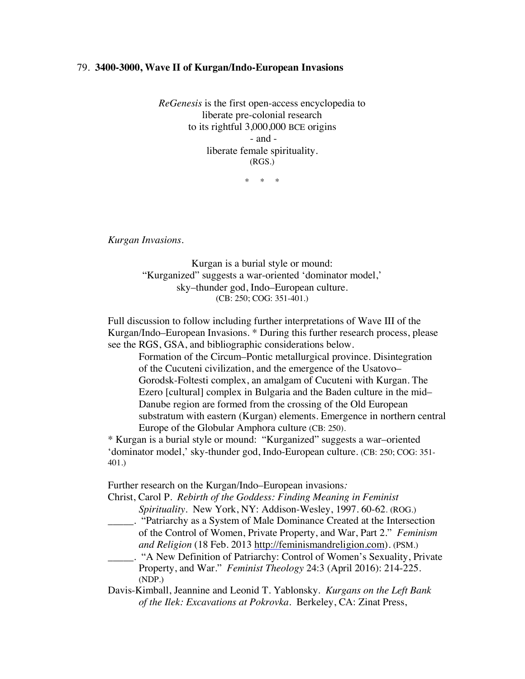## 79. **3400-3000, Wave II of Kurgan/Indo-European Invasions**

*ReGenesis* is the first open-access encyclopedia to liberate pre-colonial research to its rightful 3,000,000 BCE origins - and liberate female spirituality. (RGS.)

 $*$  \*

*Kurgan Invasions.*

Kurgan is a burial style or mound: "Kurganized" suggests a war-oriented 'dominator model,' sky–thunder god, Indo–European culture. (CB: 250; COG: 351-401.)

Full discussion to follow including further interpretations of Wave III of the Kurgan/Indo–European Invasions. \* During this further research process, please see the RGS, GSA, and bibliographic considerations below.

Formation of the Circum–Pontic metallurgical province. Disintegration of the Cucuteni civilization, and the emergence of the Usatovo– Gorodsk-Foltesti complex, an amalgam of Cucuteni with Kurgan. The Ezero [cultural] complex in Bulgaria and the Baden culture in the mid– Danube region are formed from the crossing of the Old European substratum with eastern (Kurgan) elements. Emergence in northern central Europe of the Globular Amphora culture (CB: 250).

\* Kurgan is a burial style or mound: "Kurganized" suggests a war–oriented 'dominator model,' sky-thunder god, Indo-European culture. (CB: 250; COG: 351- 401.)

Further research on the Kurgan/Indo–European invasions*:*

Christ, Carol P. *Rebirth of the Goddess: Finding Meaning in Feminist Spirituality*. New York, NY: Addison-Wesley, 1997. 60-62. (ROG.)

\_\_\_\_\_. "Patriarchy as a System of Male Dominance Created at the Intersection of the Control of Women, Private Property, and War, Part 2." *Feminism and Religion* (18 Feb. 2013 http://feminismandreligion.com). (PSM.)

\_\_\_\_\_. "A New Definition of Patriarchy: Control of Women's Sexuality, Private Property, and War." *Feminist Theology* 24:3 (April 2016): 214-225. (NDP.)

Davis-Kimball, Jeannine and Leonid T. Yablonsky. *Kurgans on the Left Bank of the Ilek: Excavations at Pokrovka*. Berkeley, CA: Zinat Press,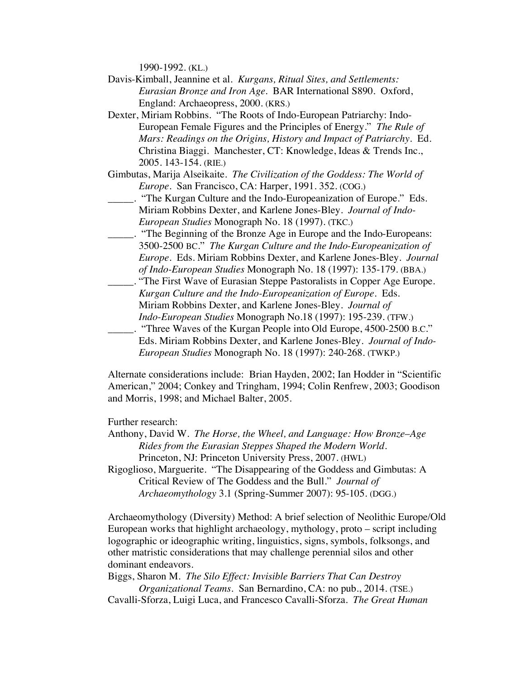1990-1992. (KL.)

- Davis-Kimball, Jeannine et al. *Kurgans, Ritual Sites, and Settlements: Eurasian Bronze and Iron Age.* BAR International S890. Oxford, England: Archaeopress, 2000. (KRS.)
- Dexter, Miriam Robbins. "The Roots of Indo-European Patriarchy: Indo-European Female Figures and the Principles of Energy." *The Rule of Mars: Readings on the Origins, History and Impact of Patriarchy.* Ed. Christina Biaggi. Manchester, CT: Knowledge, Ideas & Trends Inc., 2005. 143-154. (RIE.)
- Gimbutas, Marija Alseikaite. *The Civilization of the Goddess: The World of Europe*. San Francisco, CA: Harper, 1991. 352. (COG.)
- \_\_\_\_\_. "The Kurgan Culture and the Indo-Europeanization of Europe." Eds. Miriam Robbins Dexter, and Karlene Jones-Bley. *Journal of Indo-European Studies* Monograph No. 18 (1997). (TKC.)
- \_\_\_\_\_. "The Beginning of the Bronze Age in Europe and the Indo-Europeans: 3500-2500 BC." *The Kurgan Culture and the Indo-Europeanization of Europe*. Eds. Miriam Robbins Dexter, and Karlene Jones-Bley. *Journal of Indo-European Studies* Monograph No. 18 (1997): 135-179. (BBA.)
- \_\_\_\_\_. "The First Wave of Eurasian Steppe Pastoralists in Copper Age Europe. *Kurgan Culture and the Indo-Europeanization of Europe.* Eds. Miriam Robbins Dexter, and Karlene Jones-Bley. *Journal of Indo-European Studies* Monograph No.18 (1997): 195-239. (TFW.)
- \_\_\_\_\_. "Three Waves of the Kurgan People into Old Europe, 4500-2500 B.C." Eds. Miriam Robbins Dexter, and Karlene Jones-Bley. *Journal of Indo-European Studies* Monograph No. 18 (1997): 240-268. (TWKP.)

Alternate considerations include: Brian Hayden, 2002; Ian Hodder in "Scientific American," 2004; Conkey and Tringham, 1994; Colin Renfrew, 2003; Goodison and Morris, 1998; and Michael Balter, 2005.

Further research:

- Anthony, David W. *The Horse, the Wheel, and Language: How Bronze*–*Age Rides from the Eurasian Steppes Shaped the Modern World*. Princeton, NJ: Princeton University Press, 2007. (HWL)
- Rigoglioso, Marguerite. "The Disappearing of the Goddess and Gimbutas: A Critical Review of The Goddess and the Bull." *Journal of Archaeomythology* 3.1 (Spring-Summer 2007): 95-105. (DGG.)

Archaeomythology (Diversity) Method: A brief selection of Neolithic Europe/Old European works that highlight archaeology, mythology, proto – script including logographic or ideographic writing, linguistics, signs, symbols, folksongs, and other matristic considerations that may challenge perennial silos and other dominant endeavors.

Biggs, Sharon M. *The Silo Effect: Invisible Barriers That Can Destroy Organizational Teams*. San Bernardino, CA: no pub., 2014. (TSE.)

Cavalli-Sforza, Luigi Luca, and Francesco Cavalli-Sforza. *The Great Human*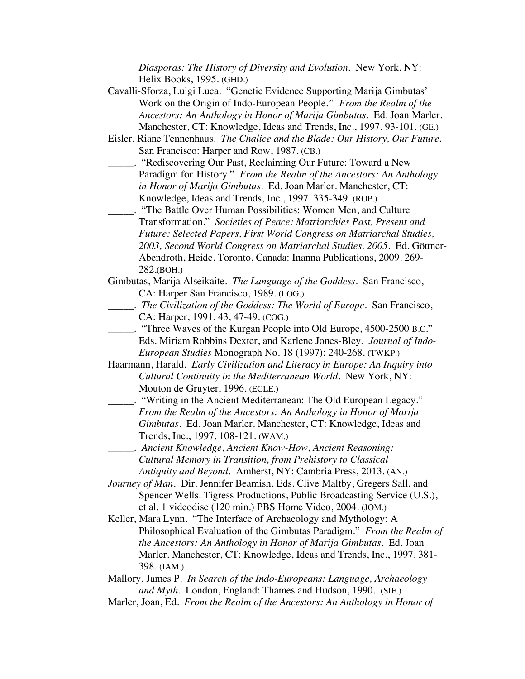*Diasporas: The History of Diversity and Evolution*. New York, NY: Helix Books, 1995. (GHD.)

- Cavalli-Sforza, Luigi Luca. "Genetic Evidence Supporting Marija Gimbutas' Work on the Origin of Indo-European People*." From the Realm of the Ancestors: An Anthology in Honor of Marija Gimbutas*. Ed. Joan Marler. Manchester, CT: Knowledge, Ideas and Trends, Inc., 1997. 93-101. (GE.)
- Eisler, Riane Tennenhaus. *The Chalice and the Blade: Our History, Our Future.* San Francisco: Harper and Row, 1987. (CB.)
- \_\_\_\_\_. "Rediscovering Our Past, Reclaiming Our Future: Toward a New Paradigm for History." *From the Realm of the Ancestors: An Anthology in Honor of Marija Gimbutas.* Ed. Joan Marler. Manchester, CT: Knowledge, Ideas and Trends, Inc., 1997. 335-349. (ROP.)
- \_\_\_\_\_. "The Battle Over Human Possibilities: Women Men, and Culture Transformation." *Societies of Peace: Matriarchies Past, Present and Future: Selected Papers, First World Congress on Matriarchal Studies, 2003, Second World Congress on Matriarchal Studies, 2005*. Ed. Göttner-Abendroth, Heide. Toronto, Canada: Inanna Publications, 2009. 269- 282.(BOH.)
- Gimbutas, Marija Alseikaite. *The Language of the Goddess*. San Francisco, CA: Harper San Francisco, 1989. (LOG.)
	- \_\_\_\_\_. *The Civilization of the Goddess: The World of Europe*. San Francisco, CA: Harper, 1991. 43, 47-49. (COG.)
- \_\_\_\_\_. "Three Waves of the Kurgan People into Old Europe, 4500-2500 B.C." Eds. Miriam Robbins Dexter, and Karlene Jones-Bley. *Journal of Indo-European Studies* Monograph No. 18 (1997): 240-268. (TWKP.)

Haarmann, Harald. *Early Civilization and Literacy in Europe: An Inquiry into Cultural Continuity in the Mediterranean World.* New York, NY: Mouton de Gruyter, 1996. (ECLE.)

- \_\_\_\_\_. "Writing in the Ancient Mediterranean: The Old European Legacy." *From the Realm of the Ancestors: An Anthology in Honor of Marija Gimbutas*. Ed. Joan Marler. Manchester, CT: Knowledge, Ideas and Trends, Inc., 1997. 108-121. (WAM.)
- \_\_\_\_\_. *Ancient Knowledge, Ancient Know-How, Ancient Reasoning: Cultural Memory in Transition, from Prehistory to Classical Antiquity and Beyond*. Amherst, NY: Cambria Press, 2013. (AN.)

*Journey of Man.* Dir. Jennifer Beamish. Eds. Clive Maltby, Gregers Sall, and Spencer Wells. Tigress Productions, Public Broadcasting Service (U.S.), et al. 1 videodisc (120 min.) PBS Home Video, 2004. (JOM.)

Keller, Mara Lynn. "The Interface of Archaeology and Mythology: A Philosophical Evaluation of the Gimbutas Paradigm." *From the Realm of the Ancestors: An Anthology in Honor of Marija Gimbutas*. Ed. Joan Marler. Manchester, CT: Knowledge, Ideas and Trends, Inc., 1997. 381- 398. (IAM.)

Mallory, James P. *In Search of the Indo-Europeans: Language, Archaeology and Myth*. London, England: Thames and Hudson, 1990. (SIE.)

Marler, Joan, Ed. *From the Realm of the Ancestors: An Anthology in Honor of*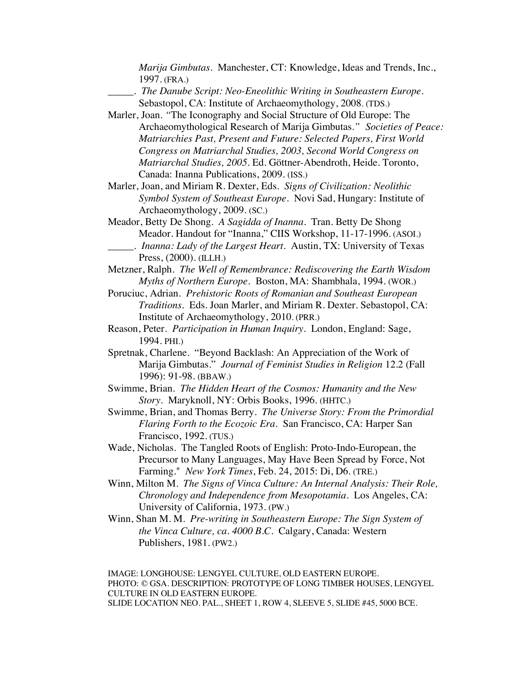*Marija Gimbutas*. Manchester, CT: Knowledge, Ideas and Trends, Inc., 1997. (FRA.)

\_\_\_\_\_. *The Danube Script: Neo-Eneolithic Writing in Southeastern Europe.* Sebastopol, CA: Institute of Archaeomythology, 2008. (TDS.)

- Marler, Joan. *"*The Iconography and Social Structure of Old Europe: The Archaeomythological Research of Marija Gimbutas*." Societies of Peace: Matriarchies Past, Present and Future: Selected Papers, First World Congress on Matriarchal Studies, 2003, Second World Congress on Matriarchal Studies, 2005*. Ed. Göttner-Abendroth, Heide. Toronto, Canada: Inanna Publications, 2009. (ISS.)
- Marler, Joan, and Miriam R. Dexter, Eds. *Signs of Civilization: Neolithic Symbol System of Southeast Europe*. Novi Sad, Hungary: Institute of Archaeomythology, 2009. (SC.)
- Meador, Betty De Shong. *A Sagidda of Inanna*. Tran. Betty De Shong Meador. Handout for "Inanna," CIIS Workshop, 11-17-1996. (ASOI.) \_\_\_\_\_. *Inanna: Lady of the Largest Heart*. Austin, TX: University of Texas Press, (2000). (ILLH.)
- Metzner, Ralph. *The Well of Remembrance: Rediscovering the Earth Wisdom Myths of Northern Europe.* Boston, MA: Shambhala, 1994. (WOR.)
- Poruciuc, Adrian. *Prehistoric Roots of Romanian and Southeast European Traditions*. Eds. Joan Marler, and Miriam R. Dexter. Sebastopol, CA: Institute of Archaeomythology, 2010. (PRR.)
- Reason, Peter. *Participation in Human Inquiry*. London, England: Sage, 1994. PHI.)
- Spretnak, Charlene. "Beyond Backlash: An Appreciation of the Work of Marija Gimbutas." *Journal of Feminist Studies in Religion* 12.2 (Fall 1996): 91-98. (BBAW.)
- Swimme, Brian. *The Hidden Heart of the Cosmos: Humanity and the New Story*. Maryknoll, NY: Orbis Books, 1996. (HHTC.)
- Swimme, Brian, and Thomas Berry. *The Universe Story: From the Primordial Flaring Forth to the Ecozoic Era.* San Francisco, CA: Harper San Francisco, 1992. (TUS.)
- Wade, Nicholas. The Tangled Roots of English: Proto-Indo-European, the Precursor to Many Languages, May Have Been Spread by Force, Not Farming." *New York Times*, Feb. 24, 2015: Di, D6. (TRE.)
- Winn, Milton M. *The Signs of Vinca Culture: An Internal Analysis: Their Role, Chronology and Independence from Mesopotamia*. Los Angeles, CA: University of California, 1973. (PW.)
- Winn, Shan M. M. *Pre-writing in Southeastern Europe: The Sign System of the Vinca Culture, ca. 4000 B.C.* Calgary, Canada: Western Publishers, 1981. (PW2.)

IMAGE: LONGHOUSE: LENGYEL CULTURE, OLD EASTERN EUROPE. PHOTO: © GSA. DESCRIPTION: PROTOTYPE OF LONG TIMBER HOUSES, LENGYEL CULTURE IN OLD EASTERN EUROPE. SLIDE LOCATION NEO. PAL., SHEET 1, ROW 4, SLEEVE 5, SLIDE #45, 5000 BCE.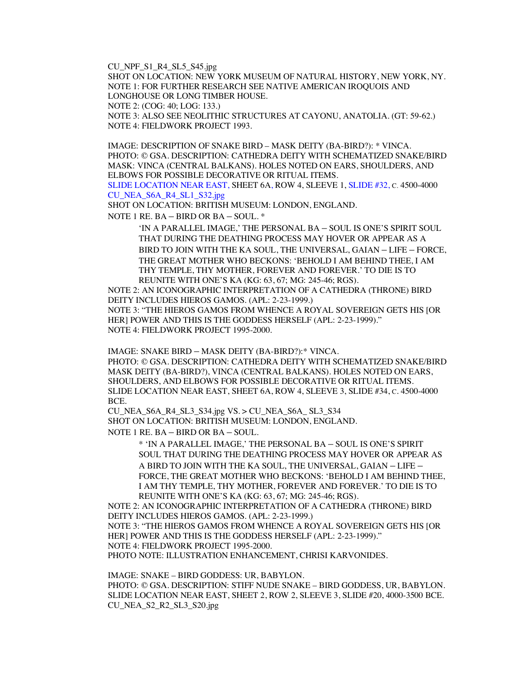CU\_NPF\_S1\_R4\_SL5\_S45.jpg

SHOT ON LOCATION: NEW YORK MUSEUM OF NATURAL HISTORY, NEW YORK, NY. NOTE 1: FOR FURTHER RESEARCH SEE NATIVE AMERICAN IROQUOIS AND LONGHOUSE OR LONG TIMBER HOUSE. NOTE 2: (COG: 40; LOG: 133.) NOTE 3: ALSO SEE NEOLITHIC STRUCTURES AT CAYONU, ANATOLIA. (GT: 59-62.) NOTE 4: FIELDWORK PROJECT 1993.

IMAGE: DESCRIPTION OF SNAKE BIRD – MASK DEITY (BA-BIRD?): \* VINCA. PHOTO: © GSA. DESCRIPTION: CATHEDRA DEITY WITH SCHEMATIZED SNAKE/BIRD MASK: VINCA (CENTRAL BALKANS). HOLES NOTED ON EARS, SHOULDERS, AND ELBOWS FOR POSSIBLE DECORATIVE OR RITUAL ITEMS.

SLIDE LOCATION NEAR EAST, SHEET 6A, ROW 4, SLEEVE 1, SLIDE #32, C. 4500-4000 CU\_NEA\_S6A\_R4\_SL1\_S32.jpg

SHOT ON LOCATION: BRITISH MUSEUM: LONDON, ENGLAND.

NOTE 1 RE. BA – BIRD OR BA – SOUL. \*

'IN A PARALLEL IMAGE,' THE PERSONAL BA – SOUL IS ONE'S SPIRIT SOUL THAT DURING THE DEATHING PROCESS MAY HOVER OR APPEAR AS A BIRD TO JOIN WITH THE KA SOUL, THE UNIVERSAL, GAIAN – LIFE – FORCE, THE GREAT MOTHER WHO BECKONS: 'BEHOLD I AM BEHIND THEE, I AM THY TEMPLE, THY MOTHER, FOREVER AND FOREVER.' TO DIE IS TO REUNITE WITH ONE'S KA (KG: 63, 67; MG: 245-46; RGS).

NOTE 2: AN ICONOGRAPHIC INTERPRETATION OF A CATHEDRA (THRONE) BIRD DEITY INCLUDES HIEROS GAMOS. (APL: 2-23-1999.) NOTE 3: "THE HIEROS GAMOS FROM WHENCE A ROYAL SOVEREIGN GETS HIS [OR HER] POWER AND THIS IS THE GODDESS HERSELF (APL: 2-23-1999)." NOTE 4: FIELDWORK PROJECT 1995-2000.

IMAGE: SNAKE BIRD – MASK DEITY (BA-BIRD?):\* VINCA. PHOTO: © GSA. DESCRIPTION: CATHEDRA DEITY WITH SCHEMATIZED SNAKE/BIRD MASK DEITY (BA-BIRD?), VINCA (CENTRAL BALKANS). HOLES NOTED ON EARS, SHOULDERS, AND ELBOWS FOR POSSIBLE DECORATIVE OR RITUAL ITEMS. SLIDE LOCATION NEAR EAST, SHEET 6A, ROW 4, SLEEVE 3, SLIDE #34, C. 4500-4000 BCE.

CU\_NEA\_S6A\_R4\_SL3\_S34.jpg VS. > CU\_NEA\_S6A\_ SL3\_S34 SHOT ON LOCATION: BRITISH MUSEUM: LONDON, ENGLAND. NOTE 1 RE. BA – BIRD OR BA – SOUL.

> \* 'IN A PARALLEL IMAGE,' THE PERSONAL BA – SOUL IS ONE'S SPIRIT SOUL THAT DURING THE DEATHING PROCESS MAY HOVER OR APPEAR AS A BIRD TO JOIN WITH THE KA SOUL, THE UNIVERSAL, GAIAN – LIFE – FORCE, THE GREAT MOTHER WHO BECKONS: 'BEHOLD I AM BEHIND THEE, I AM THY TEMPLE, THY MOTHER, FOREVER AND FOREVER.' TO DIE IS TO REUNITE WITH ONE'S KA (KG: 63, 67; MG: 245-46; RGS).

NOTE 2: AN ICONOGRAPHIC INTERPRETATION OF A CATHEDRA (THRONE) BIRD DEITY INCLUDES HIEROS GAMOS. (APL: 2-23-1999.)

NOTE 3: "THE HIEROS GAMOS FROM WHENCE A ROYAL SOVEREIGN GETS HIS [OR HER] POWER AND THIS IS THE GODDESS HERSELF (APL: 2-23-1999)." NOTE 4: FIELDWORK PROJECT 1995-2000.

PHOTO NOTE: ILLUSTRATION ENHANCEMENT, CHRISI KARVONIDES.

IMAGE: SNAKE – BIRD GODDESS: UR, BABYLON.

PHOTO: © GSA. DESCRIPTION: STIFF NUDE SNAKE – BIRD GODDESS, UR, BABYLON. SLIDE LOCATION NEAR EAST, SHEET 2, ROW 2, SLEEVE 3, SLIDE #20, 4000-3500 BCE. CU\_NEA\_S2\_R2\_SL3\_S20.jpg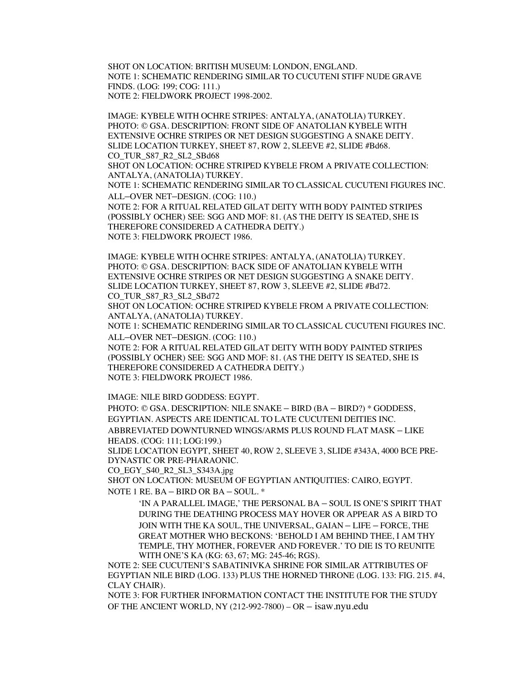SHOT ON LOCATION: BRITISH MUSEUM: LONDON, ENGLAND. NOTE 1: SCHEMATIC RENDERING SIMILAR TO CUCUTENI STIFF NUDE GRAVE FINDS. (LOG: 199; COG: 111.) NOTE 2: FIELDWORK PROJECT 1998-2002.

IMAGE: KYBELE WITH OCHRE STRIPES: ANTALYA, (ANATOLIA) TURKEY. PHOTO: © GSA. DESCRIPTION: FRONT SIDE OF ANATOLIAN KYBELE WITH EXTENSIVE OCHRE STRIPES OR NET DESIGN SUGGESTING A SNAKE DEITY. SLIDE LOCATION TURKEY, SHEET 87, ROW 2, SLEEVE #2, SLIDE #Bd68. CO\_TUR\_S87\_R2\_SL2\_SBd68

SHOT ON LOCATION: OCHRE STRIPED KYBELE FROM A PRIVATE COLLECTION: ANTALYA, (ANATOLIA) TURKEY.

NOTE 1: SCHEMATIC RENDERING SIMILAR TO CLASSICAL CUCUTENI FIGURES INC. ALL–OVER NET–DESIGN. (COG: 110.)

NOTE 2: FOR A RITUAL RELATED GILAT DEITY WITH BODY PAINTED STRIPES (POSSIBLY OCHER) SEE: SGG AND MOF: 81. (AS THE DEITY IS SEATED, SHE IS THEREFORE CONSIDERED A CATHEDRA DEITY.) NOTE 3: FIELDWORK PROJECT 1986.

IMAGE: KYBELE WITH OCHRE STRIPES: ANTALYA, (ANATOLIA) TURKEY. PHOTO: © GSA. DESCRIPTION: BACK SIDE OF ANATOLIAN KYBELE WITH EXTENSIVE OCHRE STRIPES OR NET DESIGN SUGGESTING A SNAKE DEITY. SLIDE LOCATION TURKEY, SHEET 87, ROW 3, SLEEVE #2, SLIDE #Bd72. CO\_TUR\_S87\_R3\_SL2\_SBd72

SHOT ON LOCATION: OCHRE STRIPED KYBELE FROM A PRIVATE COLLECTION: ANTALYA, (ANATOLIA) TURKEY.

NOTE 1: SCHEMATIC RENDERING SIMILAR TO CLASSICAL CUCUTENI FIGURES INC. ALL–OVER NET–DESIGN. (COG: 110.)

NOTE 2: FOR A RITUAL RELATED GILAT DEITY WITH BODY PAINTED STRIPES (POSSIBLY OCHER) SEE: SGG AND MOF: 81. (AS THE DEITY IS SEATED, SHE IS THEREFORE CONSIDERED A CATHEDRA DEITY.) NOTE 3: FIELDWORK PROJECT 1986.

IMAGE: NILE BIRD GODDESS: EGYPT.

PHOTO: © GSA. DESCRIPTION: NILE SNAKE – BIRD (BA – BIRD?) \* GODDESS, EGYPTIAN. ASPECTS ARE IDENTICAL TO LATE CUCUTENI DEITIES INC. ABBREVIATED DOWNTURNED WINGS/ARMS PLUS ROUND FLAT MASK – LIKE HEADS. (COG: 111; LOG:199.)

SLIDE LOCATION EGYPT, SHEET 40, ROW 2, SLEEVE 3, SLIDE #343A, 4000 BCE PRE-DYNASTIC OR PRE-PHARAONIC.

CO\_EGY\_S40\_R2\_SL3\_S343A.jpg

SHOT ON LOCATION: MUSEUM OF EGYPTIAN ANTIQUITIES: CAIRO, EGYPT. NOTE 1 RE. BA – BIRD OR BA – SOUL. \*

'IN A PARALLEL IMAGE,' THE PERSONAL BA – SOUL IS ONE'S SPIRIT THAT DURING THE DEATHING PROCESS MAY HOVER OR APPEAR AS A BIRD TO JOIN WITH THE KA SOUL, THE UNIVERSAL, GAIAN – LIFE – FORCE, THE GREAT MOTHER WHO BECKONS: 'BEHOLD I AM BEHIND THEE, I AM THY TEMPLE, THY MOTHER, FOREVER AND FOREVER.' TO DIE IS TO REUNITE WITH ONE'S KA (KG: 63, 67; MG: 245-46; RGS).

NOTE 2: SEE CUCUTENI'S SABATINIVKA SHRINE FOR SIMILAR ATTRIBUTES OF EGYPTIAN NILE BIRD (LOG. 133) PLUS THE HORNED THRONE (LOG. 133: FIG. 215. #4, CLAY CHAIR).

NOTE 3: FOR FURTHER INFORMATION CONTACT THE INSTITUTE FOR THE STUDY OF THE ANCIENT WORLD, NY (212-992-7800) – OR – isaw.nyu.edu